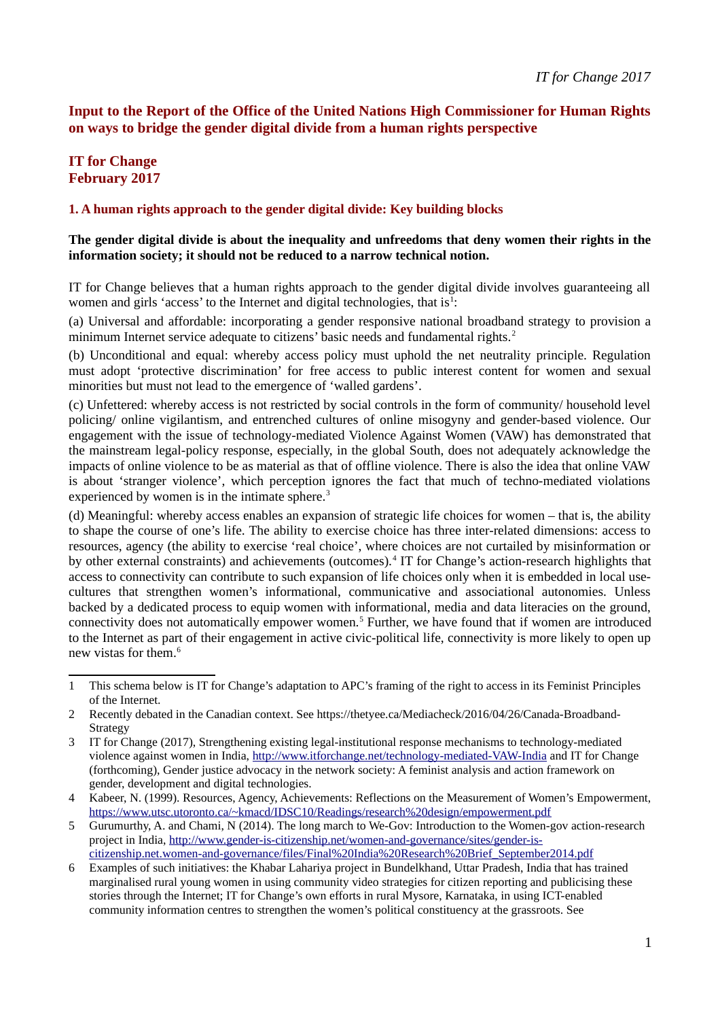## **Input to the Report of the Office of the United Nations High Commissioner for Human Rights on ways to bridge the gender digital divide from a human rights perspective**

# **IT for Change February 2017**

#### **1. A human rights approach to the gender digital divide: Key building blocks**

#### **The gender digital divide is about the inequality and unfreedoms that deny women their rights in the information society; it should not be reduced to a narrow technical notion.**

IT for Change believes that a human rights approach to the gender digital divide involves guaranteeing all women and girls 'access' to the Internet and digital technologies, that is $1$ :

(a) Universal and affordable: incorporating a gender responsive national broadband strategy to provision a minimum Internet service adequate to citizens' basic needs and fundamental rights.<sup>[2](#page-0-1)</sup>

(b) Unconditional and equal: whereby access policy must uphold the net neutrality principle. Regulation must adopt 'protective discrimination' for free access to public interest content for women and sexual minorities but must not lead to the emergence of 'walled gardens'.

(c) Unfettered: whereby access is not restricted by social controls in the form of community/ household level policing/ online vigilantism, and entrenched cultures of online misogyny and gender-based violence. Our engagement with the issue of technology-mediated Violence Against Women (VAW) has demonstrated that the mainstream legal-policy response, especially, in the global South, does not adequately acknowledge the impacts of online violence to be as material as that of offline violence. There is also the idea that online VAW is about 'stranger violence', which perception ignores the fact that much of techno-mediated violations experienced by women is in the intimate sphere.<sup>[3](#page-0-2)</sup>

(d) Meaningful: whereby access enables an expansion of strategic life choices for women – that is, the ability to shape the course of one's life. The ability to exercise choice has three inter-related dimensions: access to resources, agency (the ability to exercise 'real choice', where choices are not curtailed by misinformation or by other external constraints) and achievements (outcomes).<sup>[4](#page-0-3)</sup> IT for Change's action-research highlights that access to connectivity can contribute to such expansion of life choices only when it is embedded in local usecultures that strengthen women's informational, communicative and associational autonomies. Unless backed by a dedicated process to equip women with informational, media and data literacies on the ground, connectivity does not automatically empower women.<sup>[5](#page-0-4)</sup> Further, we have found that if women are introduced to the Internet as part of their engagement in active civic-political life, connectivity is more likely to open up new vistas for them.<sup>[6](#page-0-5)</sup>

<span id="page-0-0"></span><sup>1</sup> This schema below is IT for Change's adaptation to APC's framing of the right to access in its Feminist Principles of the Internet.

<span id="page-0-1"></span><sup>2</sup> Recently debated in the Canadian context. See https://thetyee.ca/Mediacheck/2016/04/26/Canada-Broadband-Strategy

<span id="page-0-2"></span><sup>3</sup> IT for Change (2017), Strengthening existing legal-institutional response mechanisms to technology-mediated violence against women in India,<http://www.itforchange.net/technology-mediated-VAW-India>and IT for Change (forthcoming), Gender justice advocacy in the network society: A feminist analysis and action framework on gender, development and digital technologies.

<span id="page-0-3"></span><sup>4</sup> Kabeer, N. (1999). Resources, Agency, Achievements: Reflections on the Measurement of Women's Empowerment, <https://www.utsc.utoronto.ca/~kmacd/IDSC10/Readings/research%20design/empowerment.pdf>

<span id="page-0-4"></span><sup>5</sup> Gurumurthy, A. and Chami, N (2014). The long march to We-Gov: Introduction to the Women-gov action-research project in India, [http://www.gender-is-citizenship.net/women-and-governance/sites/gender-is](http://www.gender-is-citizenship.net/women-and-governance/sites/gender-is-citizenship.net.women-and-governance/files/Final%20India%20Research%20Brief_September2014.pdf)[citizenship.net.women-and-governance/files/Final%20India%20Research%20Brief\\_September2014.pdf](http://www.gender-is-citizenship.net/women-and-governance/sites/gender-is-citizenship.net.women-and-governance/files/Final%20India%20Research%20Brief_September2014.pdf)

<span id="page-0-5"></span><sup>6</sup> Examples of such initiatives: the Khabar Lahariya project in Bundelkhand, Uttar Pradesh, India that has trained marginalised rural young women in using community video strategies for citizen reporting and publicising these stories through the Internet; IT for Change's own efforts in rural Mysore, Karnataka, in using ICT-enabled community information centres to strengthen the women's political constituency at the grassroots. See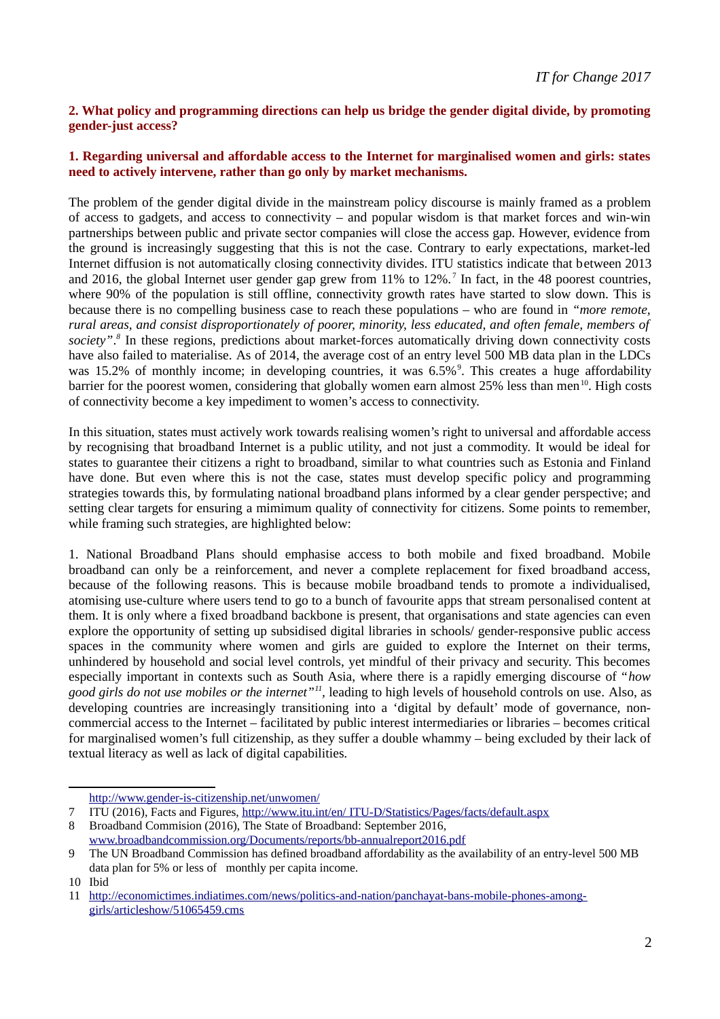### **2. What policy and programming directions can help us bridge the gender digital divide, by promoting gender-just access?**

#### **1. Regarding universal and affordable access to the Internet for marginalised women and girls: states need to actively intervene, rather than go only by market mechanisms.**

The problem of the gender digital divide in the mainstream policy discourse is mainly framed as a problem of access to gadgets, and access to connectivity – and popular wisdom is that market forces and win-win partnerships between public and private sector companies will close the access gap. However, evidence from the ground is increasingly suggesting that this is not the case. Contrary to early expectations, market-led Internet diffusion is not automatically closing connectivity divides. ITU statistics indicate that between 2013 and 2016, the global Internet user gender gap grew from 11% to 12%.<sup>[7](#page-1-0)</sup> In fact, in the 48 poorest countries, where 90% of the population is still offline, connectivity growth rates have started to slow down. This is because there is no compelling business case to reach these populations – who are found in *"more remote, rural areas, and consist disproportionately of poorer, minority, less educated, and often female, members of society"*. *[8](#page-1-1)* In these regions, predictions about market-forces automatically driving down connectivity costs have also failed to materialise. As of 2014, the average cost of an entry level 500 MB data plan in the LDCs was 15.2% of monthly income; in developing countries, it was 6.5%<sup>[9](#page-1-2)</sup>. This creates a huge affordability barrier for the poorest women, considering that globally women earn almost  $25\%$  less than men<sup>[10](#page-1-3)</sup>. High costs of connectivity become a key impediment to women's access to connectivity.

In this situation, states must actively work towards realising women's right to universal and affordable access by recognising that broadband Internet is a public utility, and not just a commodity. It would be ideal for states to guarantee their citizens a right to broadband, similar to what countries such as Estonia and Finland have done. But even where this is not the case, states must develop specific policy and programming strategies towards this, by formulating national broadband plans informed by a clear gender perspective; and setting clear targets for ensuring a mimimum quality of connectivity for citizens. Some points to remember, while framing such strategies, are highlighted below:

1. National Broadband Plans should emphasise access to both mobile and fixed broadband. Mobile broadband can only be a reinforcement, and never a complete replacement for fixed broadband access, because of the following reasons. This is because mobile broadband tends to promote a individualised, atomising use-culture where users tend to go to a bunch of favourite apps that stream personalised content at them. It is only where a fixed broadband backbone is present, that organisations and state agencies can even explore the opportunity of setting up subsidised digital libraries in schools/ gender-responsive public access spaces in the community where women and girls are guided to explore the Internet on their terms, unhindered by household and social level controls, yet mindful of their privacy and security. This becomes especially important in contexts such as South Asia, where there is a rapidly emerging discourse of "*how good girls do not use mobiles or the internet"[11](#page-1-4) ,* leading to high levels of household controls on use*.* Also, as developing countries are increasingly transitioning into a 'digital by default' mode of governance, noncommercial access to the Internet – facilitated by public interest intermediaries or libraries – becomes critical for marginalised women's full citizenship, as they suffer a double whammy – being excluded by their lack of textual literacy as well as lack of digital capabilities.

<span id="page-1-0"></span><http://www.gender-is-citizenship.net/unwomen/>

<span id="page-1-1"></span>8 Broadband Commision (2016), The State of Broadband: September 2016, [www.broadbandcommission.org/Documents/reports/bb-annualreport2016.pdf](http://www.broadbandcommission.org/Documents/reports/bb-annualreport2016.pdf)

<sup>7</sup> ITU (2016), Facts and Figures, [http://www.itu.int/en/](http://www.itu.int/en/ITU-D/Statistics/Pages/facts/default.aspx) [ITU-D/Statistics/Pages/facts/default.aspx](http://www.itu.int/en/ITU-D/Statistics/Pages/facts/default.aspx)

<span id="page-1-2"></span><sup>9</sup> The UN Broadband Commission has defined broadband affordability as the availability of an entry-level 500 MB data plan for 5% or less of monthly per capita income.

<span id="page-1-3"></span><sup>10</sup> Ibid

<span id="page-1-4"></span><sup>11</sup> [http://economictimes.indiatimes.com/news/politics-and-nation/panchayat-bans-mobile-phones-among](http://economictimes.indiatimes.com/news/politics-and-nation/panchayat-bans-mobile-phones-among-girls/articleshow/51065459.cms)[girls/articleshow/51065459.cms](http://economictimes.indiatimes.com/news/politics-and-nation/panchayat-bans-mobile-phones-among-girls/articleshow/51065459.cms)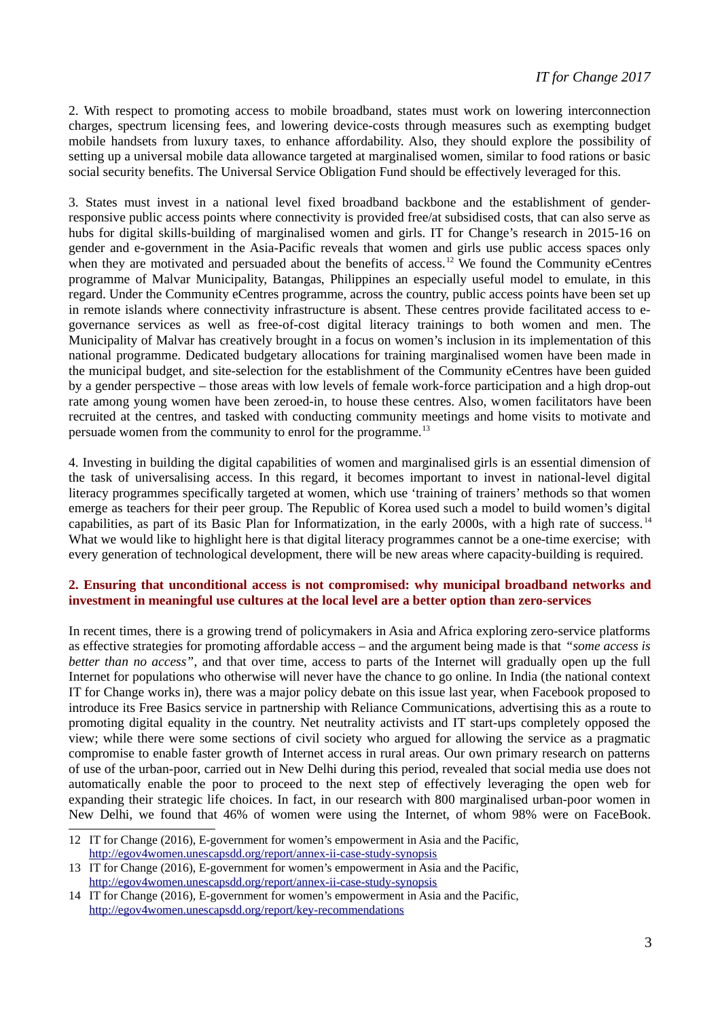2. With respect to promoting access to mobile broadband, states must work on lowering interconnection charges, spectrum licensing fees, and lowering device-costs through measures such as exempting budget mobile handsets from luxury taxes, to enhance affordability. Also, they should explore the possibility of setting up a universal mobile data allowance targeted at marginalised women, similar to food rations or basic social security benefits. The Universal Service Obligation Fund should be effectively leveraged for this.

3. States must invest in a national level fixed broadband backbone and the establishment of genderresponsive public access points where connectivity is provided free/at subsidised costs, that can also serve as hubs for digital skills-building of marginalised women and girls. IT for Change's research in 2015-16 on gender and e-government in the Asia-Pacific reveals that women and girls use public access spaces only when they are motivated and persuaded about the benefits of access.<sup>[12](#page-2-0)</sup> We found the Community eCentres programme of Malvar Municipality, Batangas, Philippines an especially useful model to emulate, in this regard. Under the Community eCentres programme, across the country, public access points have been set up in remote islands where connectivity infrastructure is absent. These centres provide facilitated access to egovernance services as well as free-of-cost digital literacy trainings to both women and men. The Municipality of Malvar has creatively brought in a focus on women's inclusion in its implementation of this national programme. Dedicated budgetary allocations for training marginalised women have been made in the municipal budget, and site-selection for the establishment of the Community eCentres have been guided by a gender perspective – those areas with low levels of female work-force participation and a high drop-out rate among young women have been zeroed-in, to house these centres. Also, women facilitators have been recruited at the centres, and tasked with conducting community meetings and home visits to motivate and persuade women from the community to enrol for the programme.<sup>[13](#page-2-1)</sup>

4. Investing in building the digital capabilities of women and marginalised girls is an essential dimension of the task of universalising access. In this regard, it becomes important to invest in national-level digital literacy programmes specifically targeted at women, which use 'training of trainers' methods so that women emerge as teachers for their peer group. The Republic of Korea used such a model to build women's digital capabilities, as part of its Basic Plan for Informatization, in the early 2000s, with a high rate of success. [14](#page-2-2) What we would like to highlight here is that digital literacy programmes cannot be a one-time exercise; with every generation of technological development, there will be new areas where capacity-building is required.

#### **2. Ensuring that unconditional access is not compromised: why municipal broadband networks and investment in meaningful use cultures at the local level are a better option than zero-services**

In recent times, there is a growing trend of policymakers in Asia and Africa exploring zero-service platforms as effective strategies for promoting affordable access – and the argument being made is that *"some access is better than no access"*, and that over time, access to parts of the Internet will gradually open up the full Internet for populations who otherwise will never have the chance to go online. In India (the national context IT for Change works in), there was a major policy debate on this issue last year, when Facebook proposed to introduce its Free Basics service in partnership with Reliance Communications, advertising this as a route to promoting digital equality in the country. Net neutrality activists and IT start-ups completely opposed the view; while there were some sections of civil society who argued for allowing the service as a pragmatic compromise to enable faster growth of Internet access in rural areas. Our own primary research on patterns of use of the urban-poor, carried out in New Delhi during this period, revealed that social media use does not automatically enable the poor to proceed to the next step of effectively leveraging the open web for expanding their strategic life choices. In fact, in our research with 800 marginalised urban-poor women in New Delhi, we found that 46% of women were using the Internet, of whom 98% were on FaceBook.

<span id="page-2-0"></span><sup>12</sup> IT for Change (2016), E-government for women's empowerment in Asia and the Pacific, <http://egov4women.unescapsdd.org/report/annex-ii-case-study-synopsis>

<span id="page-2-1"></span><sup>13</sup> IT for Change (2016), E-government for women's empowerment in Asia and the Pacific, <http://egov4women.unescapsdd.org/report/annex-ii-case-study-synopsis>

<span id="page-2-2"></span><sup>14</sup> IT for Change (2016), E-government for women's empowerment in Asia and the Pacific, <http://egov4women.unescapsdd.org/report/key-recommendations>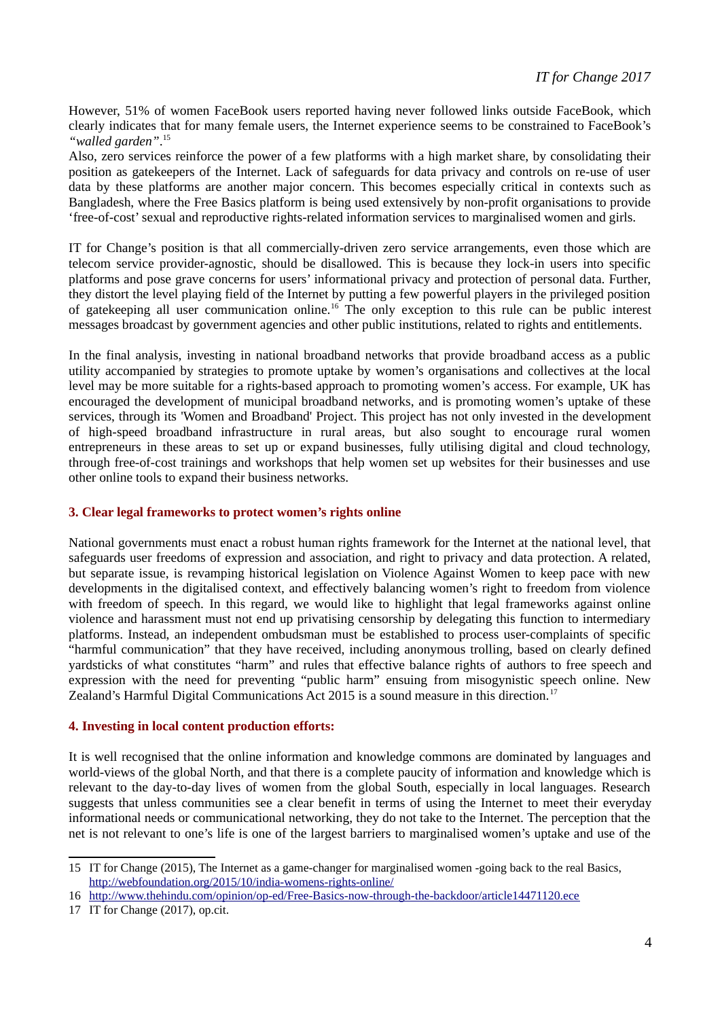However, 51% of women FaceBook users reported having never followed links outside FaceBook, which clearly indicates that for many female users, the Internet experience seems to be constrained to FaceBook's *"walled garden"*. [15](#page-3-0)

Also, zero services reinforce the power of a few platforms with a high market share, by consolidating their position as gatekeepers of the Internet. Lack of safeguards for data privacy and controls on re-use of user data by these platforms are another major concern. This becomes especially critical in contexts such as Bangladesh, where the Free Basics platform is being used extensively by non-profit organisations to provide 'free-of-cost' sexual and reproductive rights-related information services to marginalised women and girls.

IT for Change's position is that all commercially-driven zero service arrangements, even those which are telecom service provider-agnostic, should be disallowed. This is because they lock-in users into specific platforms and pose grave concerns for users' informational privacy and protection of personal data. Further, they distort the level playing field of the Internet by putting a few powerful players in the privileged position of gatekeeping all user communication online.[16](#page-3-1) The only exception to this rule can be public interest messages broadcast by government agencies and other public institutions, related to rights and entitlements.

In the final analysis, investing in national broadband networks that provide broadband access as a public utility accompanied by strategies to promote uptake by women's organisations and collectives at the local level may be more suitable for a rights-based approach to promoting women's access. For example, UK has encouraged the development of municipal broadband networks, and is promoting women's uptake of these services, through its 'Women and Broadband' Project. This project has not only invested in the development of high-speed broadband infrastructure in rural areas, but also sought to encourage rural women entrepreneurs in these areas to set up or expand businesses, fully utilising digital and cloud technology, through free-of-cost trainings and workshops that help women set up websites for their businesses and use other online tools to expand their business networks.

#### **3. Clear legal frameworks to protect women's rights online**

National governments must enact a robust human rights framework for the Internet at the national level, that safeguards user freedoms of expression and association, and right to privacy and data protection. A related, but separate issue, is revamping historical legislation on Violence Against Women to keep pace with new developments in the digitalised context, and effectively balancing women's right to freedom from violence with freedom of speech. In this regard, we would like to highlight that legal frameworks against online violence and harassment must not end up privatising censorship by delegating this function to intermediary platforms. Instead, an independent ombudsman must be established to process user-complaints of specific "harmful communication" that they have received, including anonymous trolling, based on clearly defined yardsticks of what constitutes "harm" and rules that effective balance rights of authors to free speech and expression with the need for preventing "public harm" ensuing from misogynistic speech online. New Zealand's Harmful Digital Communications Act 2015 is a sound measure in this direction.<sup>[17](#page-3-2)</sup>

### **4. Investing in local content production efforts:**

It is well recognised that the online information and knowledge commons are dominated by languages and world-views of the global North, and that there is a complete paucity of information and knowledge which is relevant to the day-to-day lives of women from the global South, especially in local languages. Research suggests that unless communities see a clear benefit in terms of using the Internet to meet their everyday informational needs or communicational networking, they do not take to the Internet. The perception that the net is not relevant to one's life is one of the largest barriers to marginalised women's uptake and use of the

<span id="page-3-0"></span><sup>15</sup> IT for Change (2015), The Internet as a game-changer for marginalised women -going back to the real Basics, <http://webfoundation.org/2015/10/india-womens-rights-online/>

<span id="page-3-1"></span><sup>16</sup> <http://www.thehindu.com/opinion/op-ed/Free-Basics-now-through-the-backdoor/article14471120.ece>

<span id="page-3-2"></span><sup>17</sup> IT for Change (2017), op.cit.